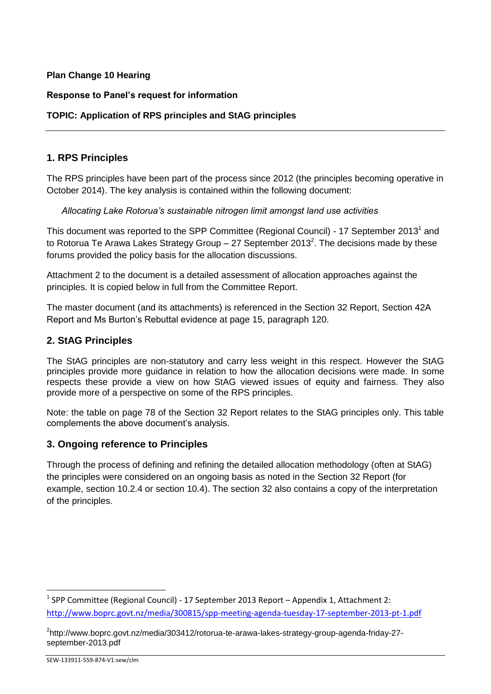### **Plan Change 10 Hearing**

### **Response to Panel's request for information**

### **TOPIC: Application of RPS principles and StAG principles**

### **1. RPS Principles**

The RPS principles have been part of the process since 2012 (the principles becoming operative in October 2014). The key analysis is contained within the following document:

#### *Allocating Lake Rotorua's sustainable nitrogen limit amongst land use activities*

This document was reported to the SPP Committee (Regional Council) - 17 September 2013<sup>1</sup> and to Rotorua Te Arawa Lakes Strategy Group – 27 September 2013<sup>2</sup>. The decisions made by these forums provided the policy basis for the allocation discussions.

Attachment 2 to the document is a detailed assessment of allocation approaches against the principles. It is copied below in full from the Committee Report.

The master document (and its attachments) is referenced in the Section 32 Report, Section 42A Report and Ms Burton's Rebuttal evidence at page 15, paragraph 120.

### **2. StAG Principles**

The StAG principles are non-statutory and carry less weight in this respect. However the StAG principles provide more guidance in relation to how the allocation decisions were made. In some respects these provide a view on how StAG viewed issues of equity and fairness. They also provide more of a perspective on some of the RPS principles.

Note: the table on page 78 of the Section 32 Report relates to the StAG principles only. This table complements the above document's analysis.

### **3. Ongoing reference to Principles**

Through the process of defining and refining the detailed allocation methodology (often at StAG) the principles were considered on an ongoing basis as noted in the Section 32 Report (for example, section 10.2.4 or section 10.4). The section 32 also contains a copy of the interpretation of the principles.

**.** 

<sup>&</sup>lt;sup>1</sup> SPP Committee (Regional Council) - 17 September 2013 Report – Appendix 1, Attachment 2: <http://www.boprc.govt.nz/media/300815/spp-meeting-agenda-tuesday-17-september-2013-pt-1.pdf>

<sup>2</sup> http://www.boprc.govt.nz/media/303412/rotorua-te-arawa-lakes-strategy-group-agenda-friday-27 september-2013.pdf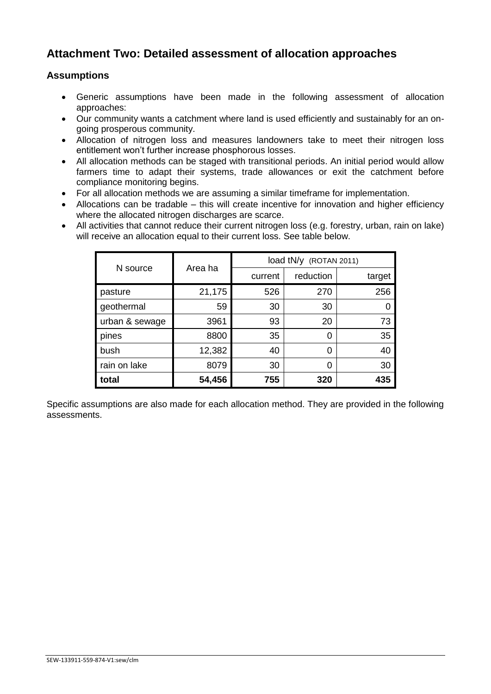# **Attachment Two: Detailed assessment of allocation approaches**

### **Assumptions**

- Generic assumptions have been made in the following assessment of allocation approaches:
- Our community wants a catchment where land is used efficiently and sustainably for an ongoing prosperous community.
- Allocation of nitrogen loss and measures landowners take to meet their nitrogen loss entitlement won't further increase phosphorous losses.
- All allocation methods can be staged with transitional periods. An initial period would allow farmers time to adapt their systems, trade allowances or exit the catchment before compliance monitoring begins.
- For all allocation methods we are assuming a similar timeframe for implementation.
- Allocations can be tradable this will create incentive for innovation and higher efficiency where the allocated nitrogen discharges are scarce.
- All activities that cannot reduce their current nitrogen loss (e.g. forestry, urban, rain on lake) will receive an allocation equal to their current loss. See table below.

|                | Area ha | load tN/y (ROTAN 2011) |           |        |
|----------------|---------|------------------------|-----------|--------|
| N source       |         | current                | reduction | target |
| pasture        | 21,175  | 526                    | 270       | 256    |
| geothermal     | 59      | 30                     | 30        |        |
| urban & sewage | 3961    | 93                     | 20        | 73     |
| pines          | 8800    | 35                     | 0         | 35     |
| bush           | 12,382  | 40                     | 0         | 40     |
| rain on lake   | 8079    | 30                     | 0         | 30     |
| total          | 54,456  | 755                    | 320       | 435    |

Specific assumptions are also made for each allocation method. They are provided in the following assessments.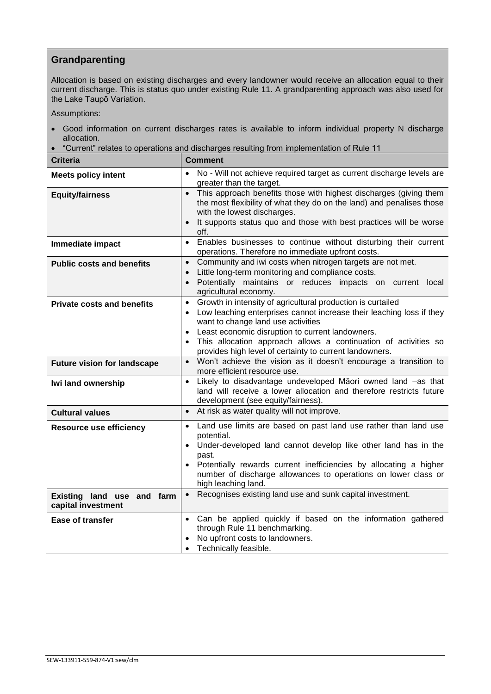# **Grandparenting**

Allocation is based on existing discharges and every landowner would receive an allocation equal to their current discharge. This is status quo under existing Rule 11. A grandparenting approach was also used for the Lake Taupō Variation.

Assumptions:

- Good information on current discharges rates is available to inform individual property N discharge allocation.
- "Current" relates to operations and discharges resulting from implementation of Rule 11

| <b>Criteria</b>                                  | <b>Comment</b>                                                                                                                                                                                                                                                                                                                                                                                     |
|--------------------------------------------------|----------------------------------------------------------------------------------------------------------------------------------------------------------------------------------------------------------------------------------------------------------------------------------------------------------------------------------------------------------------------------------------------------|
| <b>Meets policy intent</b>                       | No - Will not achieve required target as current discharge levels are<br>greater than the target.                                                                                                                                                                                                                                                                                                  |
| <b>Equity/fairness</b>                           | This approach benefits those with highest discharges (giving them<br>$\bullet$<br>the most flexibility of what they do on the land) and penalises those<br>with the lowest discharges.<br>It supports status quo and those with best practices will be worse<br>$\bullet$<br>off.                                                                                                                  |
| Immediate impact                                 | Enables businesses to continue without disturbing their current<br>$\bullet$<br>operations. Therefore no immediate upfront costs.                                                                                                                                                                                                                                                                  |
| <b>Public costs and benefits</b>                 | Community and iwi costs when nitrogen targets are not met.<br>$\bullet$<br>Little long-term monitoring and compliance costs.<br>Potentially maintains or reduces impacts on current local<br>agricultural economy.                                                                                                                                                                                 |
| <b>Private costs and benefits</b>                | Growth in intensity of agricultural production is curtailed<br>$\bullet$<br>Low leaching enterprises cannot increase their leaching loss if they<br>$\bullet$<br>want to change land use activities<br>Least economic disruption to current landowners.<br>$\bullet$<br>This allocation approach allows a continuation of activities so<br>provides high level of certainty to current landowners. |
| <b>Future vision for landscape</b>               | Won't achieve the vision as it doesn't encourage a transition to<br>$\bullet$<br>more efficient resource use.                                                                                                                                                                                                                                                                                      |
| Iwi land ownership                               | Likely to disadvantage undeveloped Māori owned land -as that<br>land will receive a lower allocation and therefore restricts future<br>development (see equity/fairness).                                                                                                                                                                                                                          |
| <b>Cultural values</b>                           | At risk as water quality will not improve.<br>$\bullet$                                                                                                                                                                                                                                                                                                                                            |
| <b>Resource use efficiency</b>                   | Land use limits are based on past land use rather than land use<br>potential.<br>Under-developed land cannot develop like other land has in the<br>$\bullet$<br>past.<br>Potentially rewards current inefficiencies by allocating a higher<br>number of discharge allowances to operations on lower class or<br>high leaching land.                                                                |
| Existing land use and farm<br>capital investment | Recognises existing land use and sunk capital investment.<br>$\bullet$                                                                                                                                                                                                                                                                                                                             |
| <b>Ease of transfer</b>                          | Can be applied quickly if based on the information gathered<br>$\bullet$<br>through Rule 11 benchmarking.<br>No upfront costs to landowners.<br>Technically feasible.                                                                                                                                                                                                                              |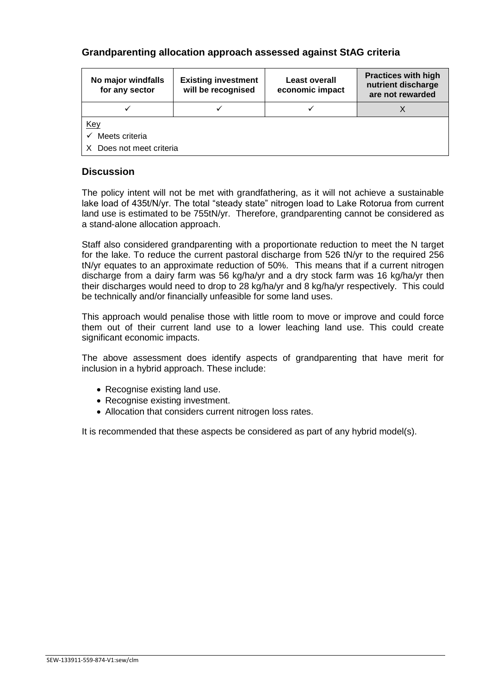## **Grandparenting allocation approach assessed against StAG criteria**

| No major windfalls<br>for any sector | <b>Existing investment</b><br>will be recognised | <b>Least overall</b><br>economic impact | <b>Practices with high</b><br>nutrient discharge<br>are not rewarded |  |
|--------------------------------------|--------------------------------------------------|-----------------------------------------|----------------------------------------------------------------------|--|
|                                      |                                                  |                                         |                                                                      |  |
| <u>Key</u>                           |                                                  |                                         |                                                                      |  |
| Meets criteria<br>$\checkmark$       |                                                  |                                         |                                                                      |  |
| X Does not meet criteria             |                                                  |                                         |                                                                      |  |

### **Discussion**

The policy intent will not be met with grandfathering, as it will not achieve a sustainable lake load of 435t/N/yr. The total "steady state" nitrogen load to Lake Rotorua from current land use is estimated to be 755tN/yr. Therefore, grandparenting cannot be considered as a stand-alone allocation approach.

Staff also considered grandparenting with a proportionate reduction to meet the N target for the lake. To reduce the current pastoral discharge from 526 tN/yr to the required 256 tN/yr equates to an approximate reduction of 50%. This means that if a current nitrogen discharge from a dairy farm was 56 kg/ha/yr and a dry stock farm was 16 kg/ha/yr then their discharges would need to drop to 28 kg/ha/yr and 8 kg/ha/yr respectively. This could be technically and/or financially unfeasible for some land uses.

This approach would penalise those with little room to move or improve and could force them out of their current land use to a lower leaching land use. This could create significant economic impacts.

The above assessment does identify aspects of grandparenting that have merit for inclusion in a hybrid approach. These include:

- Recognise existing land use.
- Recognise existing investment.
- Allocation that considers current nitrogen loss rates.

It is recommended that these aspects be considered as part of any hybrid model(s).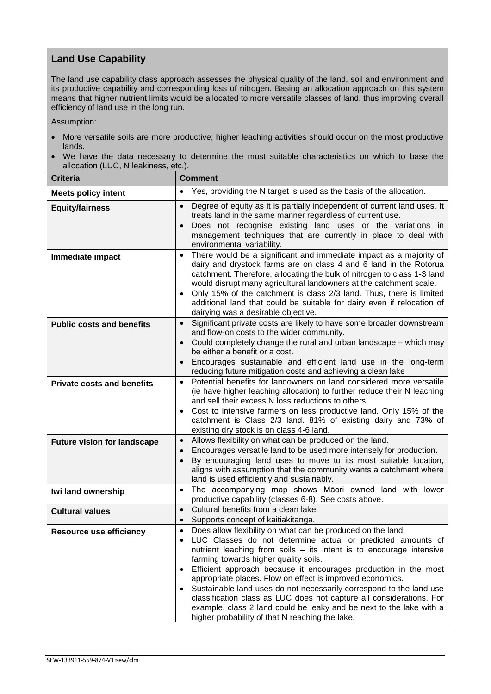# **Land Use Capability**

The land use capability class approach assesses the physical quality of the land, soil and environment and its productive capability and corresponding loss of nitrogen. Basing an allocation approach on this system means that higher nutrient limits would be allocated to more versatile classes of land, thus improving overall efficiency of land use in the long run.

Assumption:

- More versatile soils are more productive; higher leaching activities should occur on the most productive lands.
- We have the data necessary to determine the most suitable characteristics on which to base the allocation (LUC, N leakiness, etc.).

| <b>Criteria</b>                    | <b>Comment</b>                                                                                                                                                                                                                                                                                                                                                                                                                                                                                                                                                                                                                                                                |  |  |
|------------------------------------|-------------------------------------------------------------------------------------------------------------------------------------------------------------------------------------------------------------------------------------------------------------------------------------------------------------------------------------------------------------------------------------------------------------------------------------------------------------------------------------------------------------------------------------------------------------------------------------------------------------------------------------------------------------------------------|--|--|
| <b>Meets policy intent</b>         | Yes, providing the N target is used as the basis of the allocation.<br>$\bullet$                                                                                                                                                                                                                                                                                                                                                                                                                                                                                                                                                                                              |  |  |
| <b>Equity/fairness</b>             | Degree of equity as it is partially independent of current land uses. It<br>$\bullet$<br>treats land in the same manner regardless of current use.<br>Does not recognise existing land uses or the variations in<br>management techniques that are currently in place to deal with<br>environmental variability.                                                                                                                                                                                                                                                                                                                                                              |  |  |
| Immediate impact                   | There would be a significant and immediate impact as a majority of<br>dairy and drystock farms are on class 4 and 6 land in the Rotorua<br>catchment. Therefore, allocating the bulk of nitrogen to class 1-3 land<br>would disrupt many agricultural landowners at the catchment scale.<br>Only 15% of the catchment is class 2/3 land. Thus, there is limited<br>additional land that could be suitable for dairy even if relocation of<br>dairying was a desirable objective.                                                                                                                                                                                              |  |  |
| <b>Public costs and benefits</b>   | Significant private costs are likely to have some broader downstream<br>$\bullet$<br>and flow-on costs to the wider community.<br>Could completely change the rural and urban landscape - which may<br>$\bullet$<br>be either a benefit or a cost.<br>Encourages sustainable and efficient land use in the long-term<br>$\bullet$<br>reducing future mitigation costs and achieving a clean lake                                                                                                                                                                                                                                                                              |  |  |
| <b>Private costs and benefits</b>  | Potential benefits for landowners on land considered more versatile<br>$\bullet$<br>(ie have higher leaching allocation) to further reduce their N leaching<br>and sell their excess N loss reductions to others<br>Cost to intensive farmers on less productive land. Only 15% of the<br>catchment is Class 2/3 land. 81% of existing dairy and 73% of<br>existing dry stock is on class 4-6 land.                                                                                                                                                                                                                                                                           |  |  |
| <b>Future vision for landscape</b> | Allows flexibility on what can be produced on the land.<br>$\bullet$<br>Encourages versatile land to be used more intensely for production.<br>By encouraging land uses to move to its most suitable location,<br>aligns with assumption that the community wants a catchment where<br>land is used efficiently and sustainably.                                                                                                                                                                                                                                                                                                                                              |  |  |
| Iwi land ownership                 | The accompanying map shows Māori owned land with lower<br>$\bullet$<br>productive capability (classes 6-8). See costs above.                                                                                                                                                                                                                                                                                                                                                                                                                                                                                                                                                  |  |  |
| <b>Cultural values</b>             | Cultural benefits from a clean lake.<br>$\bullet$<br>Supports concept of kaitiakitanga.<br>$\bullet$                                                                                                                                                                                                                                                                                                                                                                                                                                                                                                                                                                          |  |  |
| <b>Resource use efficiency</b>     | Does allow flexibility on what can be produced on the land.<br>$\bullet$<br>LUC Classes do not determine actual or predicted amounts of<br>$\bullet$<br>nutrient leaching from soils - its intent is to encourage intensive<br>farming towards higher quality soils.<br>Efficient approach because it encourages production in the most<br>appropriate places. Flow on effect is improved economics.<br>Sustainable land uses do not necessarily correspond to the land use<br>classification class as LUC does not capture all considerations. For<br>example, class 2 land could be leaky and be next to the lake with a<br>higher probability of that N reaching the lake. |  |  |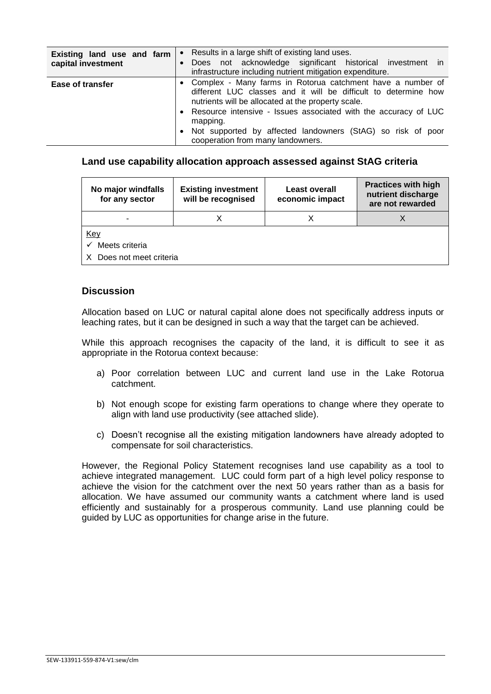| Existing land use and farm<br>capital investment | Results in a large shift of existing land uses.<br>Does not acknowledge significant historical investment in<br>infrastructure including nutrient mitigation expenditure.                                                                                            |  |  |  |
|--------------------------------------------------|----------------------------------------------------------------------------------------------------------------------------------------------------------------------------------------------------------------------------------------------------------------------|--|--|--|
| <b>Ease of transfer</b>                          | • Complex - Many farms in Rotorua catchment have a number of<br>different LUC classes and it will be difficult to determine how<br>nutrients will be allocated at the property scale.<br>Resource intensive - Issues associated with the accuracy of LUC<br>mapping. |  |  |  |
|                                                  | Not supported by affected landowners (StAG) so risk of poor<br>cooperation from many landowners.                                                                                                                                                                     |  |  |  |

#### **Land use capability allocation approach assessed against StAG criteria**

| No major windfalls<br>for any sector | <b>Existing investment</b><br>will be recognised | <b>Least overall</b><br>economic impact | <b>Practices with high</b><br>nutrient discharge<br>are not rewarded |  |
|--------------------------------------|--------------------------------------------------|-----------------------------------------|----------------------------------------------------------------------|--|
| -                                    |                                                  |                                         |                                                                      |  |
| <u>Key</u>                           |                                                  |                                         |                                                                      |  |
| Meets criteria<br>$\checkmark$       |                                                  |                                         |                                                                      |  |
| X Does not meet criteria             |                                                  |                                         |                                                                      |  |

#### **Discussion**

Allocation based on LUC or natural capital alone does not specifically address inputs or leaching rates, but it can be designed in such a way that the target can be achieved.

While this approach recognises the capacity of the land, it is difficult to see it as appropriate in the Rotorua context because:

- a) Poor correlation between LUC and current land use in the Lake Rotorua catchment.
- b) Not enough scope for existing farm operations to change where they operate to align with land use productivity (see attached slide).
- c) Doesn't recognise all the existing mitigation landowners have already adopted to compensate for soil characteristics.

However, the Regional Policy Statement recognises land use capability as a tool to achieve integrated management. LUC could form part of a high level policy response to achieve the vision for the catchment over the next 50 years rather than as a basis for allocation. We have assumed our community wants a catchment where land is used efficiently and sustainably for a prosperous community. Land use planning could be guided by LUC as opportunities for change arise in the future.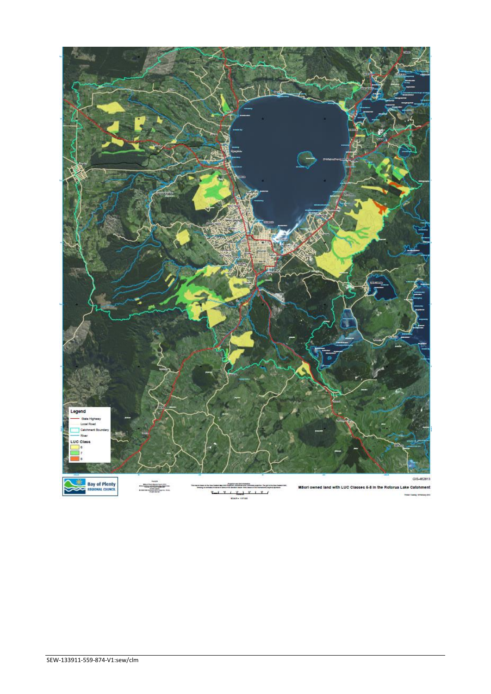

 $\mathbf{r}$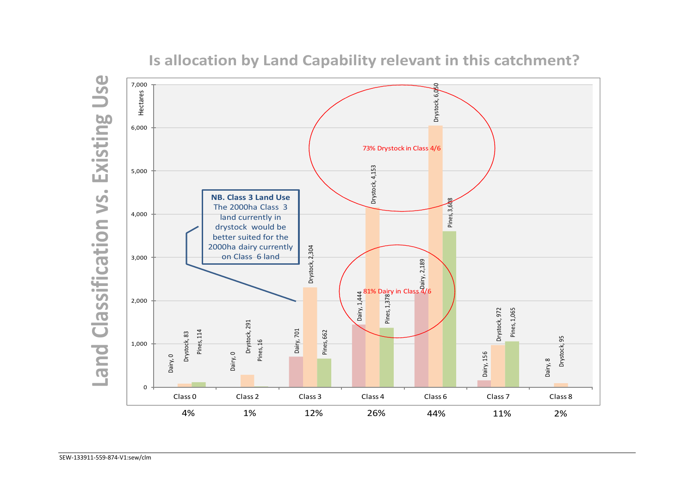

**Is allocation by Land Capability relevant in this catchment?**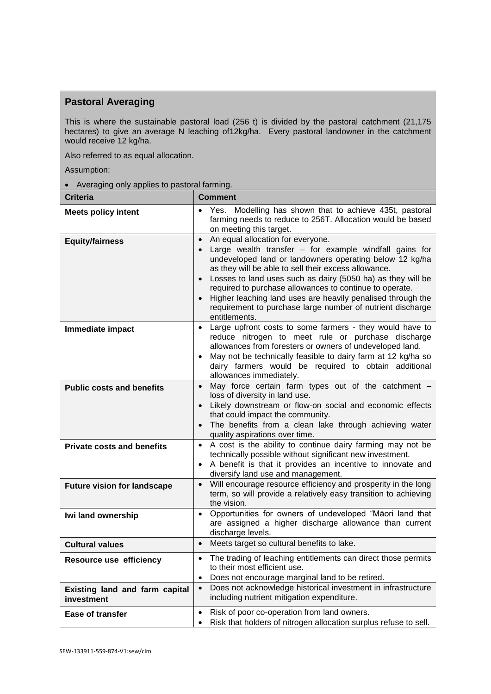# **Pastoral Averaging**

This is where the sustainable pastoral load (256 t) is divided by the pastoral catchment (21,175 hectares) to give an average N leaching of12kg/ha. Every pastoral landowner in the catchment would receive 12 kg/ha.

Also referred to as equal allocation.

Assumption:

Averaging only applies to pastoral farming.

| <b>Criteria</b>                              | <b>Comment</b>                                                                                                                                                                                                                                                                                                                                                                                                                                                                                                                |  |  |
|----------------------------------------------|-------------------------------------------------------------------------------------------------------------------------------------------------------------------------------------------------------------------------------------------------------------------------------------------------------------------------------------------------------------------------------------------------------------------------------------------------------------------------------------------------------------------------------|--|--|
| <b>Meets policy intent</b>                   | Yes. Modelling has shown that to achieve 435t, pastoral<br>farming needs to reduce to 256T. Allocation would be based<br>on meeting this target.                                                                                                                                                                                                                                                                                                                                                                              |  |  |
| <b>Equity/fairness</b>                       | An equal allocation for everyone.<br>$\bullet$<br>Large wealth transfer - for example windfall gains for<br>$\bullet$<br>undeveloped land or landowners operating below 12 kg/ha<br>as they will be able to sell their excess allowance.<br>Losses to land uses such as dairy (5050 ha) as they will be<br>$\bullet$<br>required to purchase allowances to continue to operate.<br>Higher leaching land uses are heavily penalised through the<br>requirement to purchase large number of nutrient discharge<br>entitlements. |  |  |
| Immediate impact                             | Large upfront costs to some farmers - they would have to<br>reduce nitrogen to meet rule or purchase discharge<br>allowances from foresters or owners of undeveloped land.<br>May not be technically feasible to dairy farm at 12 kg/ha so<br>$\bullet$<br>dairy farmers would be required to obtain additional<br>allowances immediately.                                                                                                                                                                                    |  |  |
| <b>Public costs and benefits</b>             | May force certain farm types out of the catchment -<br>$\bullet$<br>loss of diversity in land use.<br>Likely downstream or flow-on social and economic effects<br>that could impact the community.<br>The benefits from a clean lake through achieving water<br>quality aspirations over time.                                                                                                                                                                                                                                |  |  |
| <b>Private costs and benefits</b>            | A cost is the ability to continue dairy farming may not be<br>$\bullet$<br>technically possible without significant new investment.<br>A benefit is that it provides an incentive to innovate and<br>$\bullet$<br>diversify land use and management.                                                                                                                                                                                                                                                                          |  |  |
| <b>Future vision for landscape</b>           | Will encourage resource efficiency and prosperity in the long<br>term, so will provide a relatively easy transition to achieving<br>the vision.                                                                                                                                                                                                                                                                                                                                                                               |  |  |
| Iwi land ownership                           | Opportunities for owners of undeveloped "Māori land that<br>$\bullet$<br>are assigned a higher discharge allowance than current<br>discharge levels.                                                                                                                                                                                                                                                                                                                                                                          |  |  |
| <b>Cultural values</b>                       | Meets target so cultural benefits to lake.<br>$\bullet$                                                                                                                                                                                                                                                                                                                                                                                                                                                                       |  |  |
| Resource use efficiency                      | The trading of leaching entitlements can direct those permits<br>$\bullet$<br>to their most efficient use.<br>Does not encourage marginal land to be retired.                                                                                                                                                                                                                                                                                                                                                                 |  |  |
| Existing land and farm capital<br>investment | Does not acknowledge historical investment in infrastructure<br>$\bullet$<br>including nutrient mitigation expenditure.                                                                                                                                                                                                                                                                                                                                                                                                       |  |  |
| <b>Ease of transfer</b>                      | Risk of poor co-operation from land owners.<br>$\bullet$<br>Risk that holders of nitrogen allocation surplus refuse to sell.                                                                                                                                                                                                                                                                                                                                                                                                  |  |  |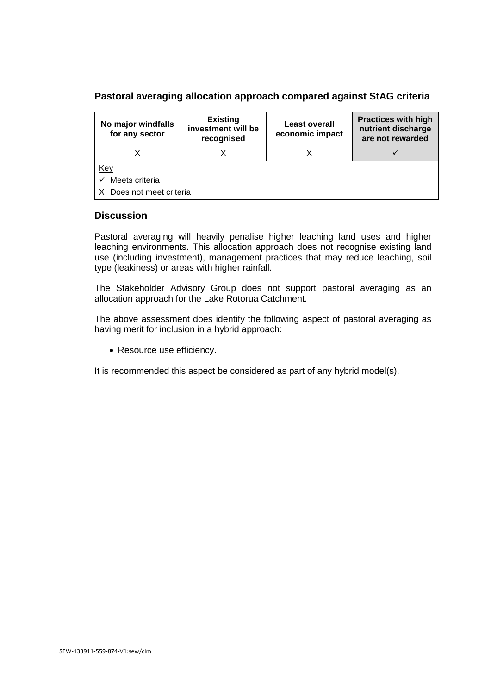### **Pastoral averaging allocation approach compared against StAG criteria**

| No major windfalls<br>for any sector | <b>Existing</b><br>investment will be<br>recognised | <b>Least overall</b><br>economic impact | <b>Practices with high</b><br>nutrient discharge<br>are not rewarded |  |
|--------------------------------------|-----------------------------------------------------|-----------------------------------------|----------------------------------------------------------------------|--|
|                                      |                                                     |                                         |                                                                      |  |
| <u>Key</u>                           |                                                     |                                         |                                                                      |  |
| Meets criteria                       |                                                     |                                         |                                                                      |  |
| X Does not meet criteria             |                                                     |                                         |                                                                      |  |

### **Discussion**

Pastoral averaging will heavily penalise higher leaching land uses and higher leaching environments. This allocation approach does not recognise existing land use (including investment), management practices that may reduce leaching, soil type (leakiness) or areas with higher rainfall.

The Stakeholder Advisory Group does not support pastoral averaging as an allocation approach for the Lake Rotorua Catchment.

The above assessment does identify the following aspect of pastoral averaging as having merit for inclusion in a hybrid approach:

• Resource use efficiency.

It is recommended this aspect be considered as part of any hybrid model(s).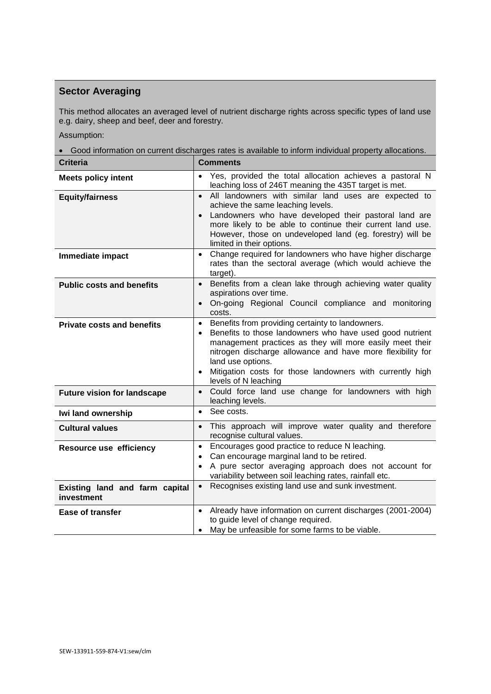# **Sector Averaging**

This method allocates an averaged level of nutrient discharge rights across specific types of land use e.g. dairy, sheep and beef, deer and forestry.

Assumption:

Good information on current discharges rates is available to inform individual property allocations.

| <b>Criteria</b>                              | <b>Comments</b>                                                                                                                                                                                                                                                                                                                                                                         |  |  |
|----------------------------------------------|-----------------------------------------------------------------------------------------------------------------------------------------------------------------------------------------------------------------------------------------------------------------------------------------------------------------------------------------------------------------------------------------|--|--|
| <b>Meets policy intent</b>                   | Yes, provided the total allocation achieves a pastoral N<br>leaching loss of 246T meaning the 435T target is met.                                                                                                                                                                                                                                                                       |  |  |
| <b>Equity/fairness</b>                       | All landowners with similar land uses are expected to<br>$\bullet$<br>achieve the same leaching levels.<br>Landowners who have developed their pastoral land are<br>$\bullet$<br>more likely to be able to continue their current land use.<br>However, those on undeveloped land (eg. forestry) will be<br>limited in their options.                                                   |  |  |
| Immediate impact                             | Change required for landowners who have higher discharge<br>$\bullet$<br>rates than the sectoral average (which would achieve the<br>target).                                                                                                                                                                                                                                           |  |  |
| <b>Public costs and benefits</b>             | Benefits from a clean lake through achieving water quality<br>$\bullet$<br>aspirations over time.<br>On-going Regional Council compliance and monitoring<br>$\bullet$<br>costs.                                                                                                                                                                                                         |  |  |
| <b>Private costs and benefits</b>            | Benefits from providing certainty to landowners.<br>$\bullet$<br>Benefits to those landowners who have used good nutrient<br>$\bullet$<br>management practices as they will more easily meet their<br>nitrogen discharge allowance and have more flexibility for<br>land use options.<br>Mitigation costs for those landowners with currently high<br>$\bullet$<br>levels of N leaching |  |  |
| <b>Future vision for landscape</b>           | Could force land use change for landowners with high<br>$\bullet$<br>leaching levels.                                                                                                                                                                                                                                                                                                   |  |  |
| Iwi land ownership                           | See costs.<br>$\bullet$                                                                                                                                                                                                                                                                                                                                                                 |  |  |
| <b>Cultural values</b>                       | This approach will improve water quality and therefore<br>$\bullet$<br>recognise cultural values.                                                                                                                                                                                                                                                                                       |  |  |
| Resource use efficiency                      | Encourages good practice to reduce N leaching.<br>$\bullet$<br>Can encourage marginal land to be retired.<br>$\bullet$<br>A pure sector averaging approach does not account for<br>variability between soil leaching rates, rainfall etc.                                                                                                                                               |  |  |
| Existing land and farm capital<br>investment | Recognises existing land use and sunk investment.<br>$\bullet$                                                                                                                                                                                                                                                                                                                          |  |  |
| <b>Ease of transfer</b>                      | Already have information on current discharges (2001-2004)<br>$\bullet$<br>to guide level of change required.<br>May be unfeasible for some farms to be viable.<br>$\bullet$                                                                                                                                                                                                            |  |  |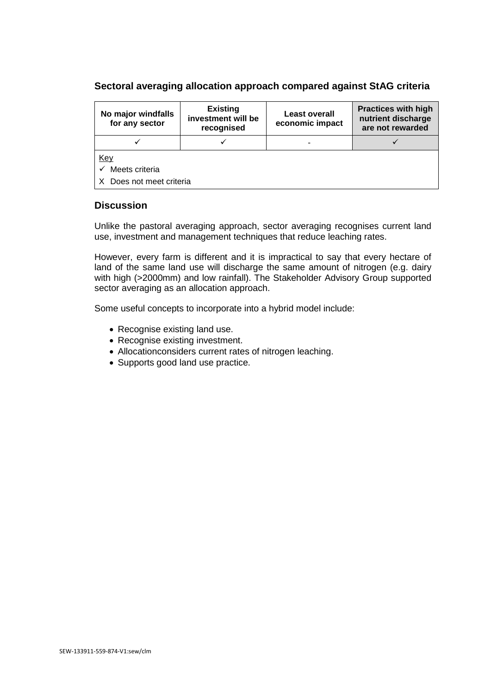### **Sectoral averaging allocation approach compared against StAG criteria**

| No major windfalls<br>for any sector                     | <b>Existing</b><br>investment will be<br>recognised | <b>Least overall</b><br>economic impact | <b>Practices with high</b><br>nutrient discharge<br>are not rewarded |
|----------------------------------------------------------|-----------------------------------------------------|-----------------------------------------|----------------------------------------------------------------------|
|                                                          |                                                     |                                         |                                                                      |
| <u>Key</u><br>Meets criteria<br>X Does not meet criteria |                                                     |                                         |                                                                      |

#### **Discussion**

Unlike the pastoral averaging approach, sector averaging recognises current land use, investment and management techniques that reduce leaching rates.

However, every farm is different and it is impractical to say that every hectare of land of the same land use will discharge the same amount of nitrogen (e.g. dairy with high (>2000mm) and low rainfall). The Stakeholder Advisory Group supported sector averaging as an allocation approach.

Some useful concepts to incorporate into a hybrid model include:

- Recognise existing land use.
- Recognise existing investment.
- Allocationconsiders current rates of nitrogen leaching.
- Supports good land use practice.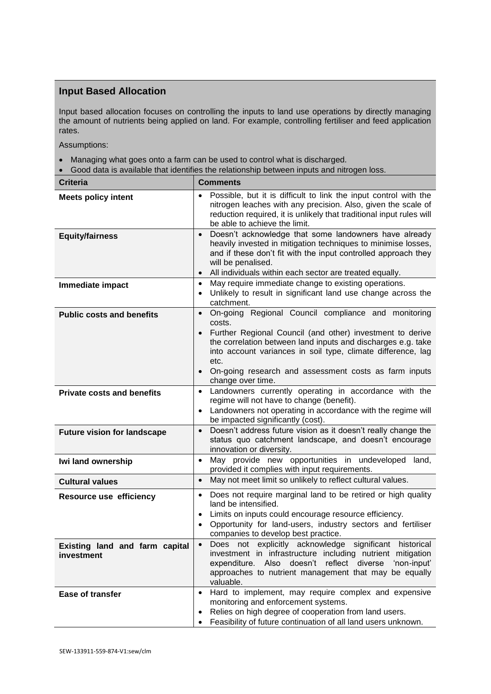# **Input Based Allocation**

Input based allocation focuses on controlling the inputs to land use operations by directly managing the amount of nutrients being applied on land. For example, controlling fertiliser and feed application rates.

Assumptions:

- Managing what goes onto a farm can be used to control what is discharged.
- Good data is available that identifies the relationship between inputs and nitrogen loss.

| <b>Criteria</b>                              | <b>Comments</b>                                                                                                                                                                                                                                                                                                                                                            |  |  |
|----------------------------------------------|----------------------------------------------------------------------------------------------------------------------------------------------------------------------------------------------------------------------------------------------------------------------------------------------------------------------------------------------------------------------------|--|--|
| <b>Meets policy intent</b>                   | Possible, but it is difficult to link the input control with the<br>nitrogen leaches with any precision. Also, given the scale of<br>reduction required, it is unlikely that traditional input rules will<br>be able to achieve the limit.                                                                                                                                 |  |  |
| <b>Equity/fairness</b>                       | Doesn't acknowledge that some landowners have already<br>$\bullet$<br>heavily invested in mitigation techniques to minimise losses,<br>and if these don't fit with the input controlled approach they<br>will be penalised.<br>All individuals within each sector are treated equally.<br>$\bullet$                                                                        |  |  |
| Immediate impact                             | May require immediate change to existing operations.<br>$\bullet$<br>Unlikely to result in significant land use change across the<br>$\bullet$<br>catchment.                                                                                                                                                                                                               |  |  |
| <b>Public costs and benefits</b>             | On-going Regional Council compliance and monitoring<br>$\bullet$<br>costs.<br>Further Regional Council (and other) investment to derive<br>the correlation between land inputs and discharges e.g. take<br>into account variances in soil type, climate difference, lag<br>etc.<br>On-going research and assessment costs as farm inputs<br>$\bullet$<br>change over time. |  |  |
| <b>Private costs and benefits</b>            | Landowners currently operating in accordance with the<br>$\bullet$<br>regime will not have to change (benefit).<br>Landowners not operating in accordance with the regime will<br>$\bullet$<br>be impacted significantly (cost).                                                                                                                                           |  |  |
| <b>Future vision for landscape</b>           | Doesn't address future vision as it doesn't really change the<br>$\bullet$<br>status quo catchment landscape, and doesn't encourage<br>innovation or diversity.                                                                                                                                                                                                            |  |  |
| Iwi land ownership                           | May provide new opportunities in undeveloped<br>land,<br>$\bullet$<br>provided it complies with input requirements.                                                                                                                                                                                                                                                        |  |  |
| <b>Cultural values</b>                       | May not meet limit so unlikely to reflect cultural values.<br>$\bullet$                                                                                                                                                                                                                                                                                                    |  |  |
| Resource use efficiency                      | Does not require marginal land to be retired or high quality<br>$\bullet$<br>land be intensified.<br>Limits on inputs could encourage resource efficiency.<br>$\bullet$<br>Opportunity for land-users, industry sectors and fertiliser<br>$\bullet$<br>companies to develop best practice.                                                                                 |  |  |
| Existing land and farm capital<br>investment | Does not explicitly acknowledge significant historical<br>investment in infrastructure including nutrient mitigation<br>expenditure. Also doesn't reflect diverse<br>'non-input'<br>approaches to nutrient management that may be equally<br>valuable.                                                                                                                     |  |  |
| Ease of transfer                             | Hard to implement, may require complex and expensive<br>$\bullet$<br>monitoring and enforcement systems.<br>Relies on high degree of cooperation from land users.<br>$\bullet$<br>Feasibility of future continuation of all land users unknown.<br>٠                                                                                                                       |  |  |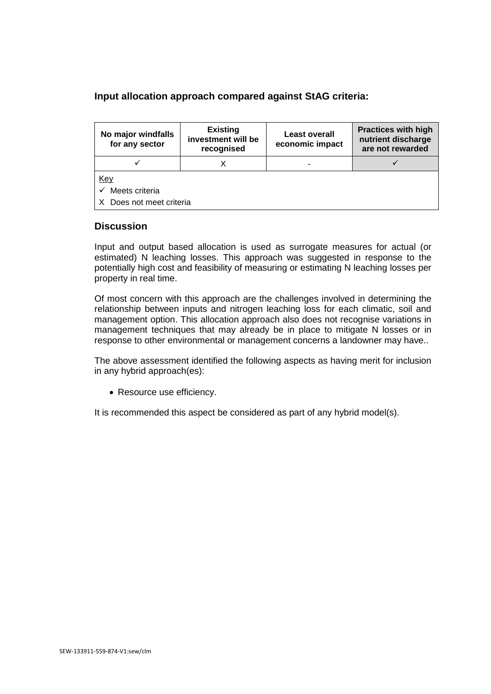### **Input allocation approach compared against StAG criteria:**

| No major windfalls<br>for any sector | <b>Existing</b><br>investment will be<br>recognised | <b>Least overall</b><br>economic impact | <b>Practices with high</b><br>nutrient discharge<br>are not rewarded |  |
|--------------------------------------|-----------------------------------------------------|-----------------------------------------|----------------------------------------------------------------------|--|
|                                      |                                                     |                                         |                                                                      |  |
| <u>Key</u>                           |                                                     |                                         |                                                                      |  |
| Meets criteria<br>✓                  |                                                     |                                         |                                                                      |  |
| X Does not meet criteria             |                                                     |                                         |                                                                      |  |

#### **Discussion**

Input and output based allocation is used as surrogate measures for actual (or estimated) N leaching losses. This approach was suggested in response to the potentially high cost and feasibility of measuring or estimating N leaching losses per property in real time.

Of most concern with this approach are the challenges involved in determining the relationship between inputs and nitrogen leaching loss for each climatic, soil and management option. This allocation approach also does not recognise variations in management techniques that may already be in place to mitigate N losses or in response to other environmental or management concerns a landowner may have..

The above assessment identified the following aspects as having merit for inclusion in any hybrid approach(es):

• Resource use efficiency.

It is recommended this aspect be considered as part of any hybrid model(s).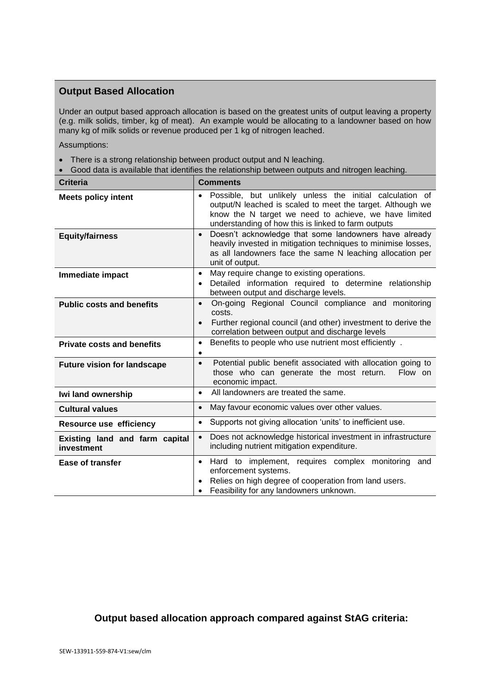### **Output Based Allocation**

Under an output based approach allocation is based on the greatest units of output leaving a property (e.g. milk solids, timber, kg of meat). An example would be allocating to a landowner based on how many kg of milk solids or revenue produced per 1 kg of nitrogen leached.

Assumptions:

• There is a strong relationship between product output and N leaching.

| Good data is available that identifies the relationship between outputs and nitrogen leaching. |                                                                                                                                                                                                                                                     |  |  |  |
|------------------------------------------------------------------------------------------------|-----------------------------------------------------------------------------------------------------------------------------------------------------------------------------------------------------------------------------------------------------|--|--|--|
| <b>Criteria</b>                                                                                | <b>Comments</b>                                                                                                                                                                                                                                     |  |  |  |
| <b>Meets policy intent</b>                                                                     | Possible, but unlikely unless the initial calculation of<br>$\bullet$<br>output/N leached is scaled to meet the target. Although we<br>know the N target we need to achieve, we have limited<br>understanding of how this is linked to farm outputs |  |  |  |
| <b>Equity/fairness</b>                                                                         | Doesn't acknowledge that some landowners have already<br>$\bullet$<br>heavily invested in mitigation techniques to minimise losses,<br>as all landowners face the same N leaching allocation per<br>unit of output.                                 |  |  |  |
| Immediate impact                                                                               | May require change to existing operations.<br>$\bullet$<br>Detailed information required to determine relationship<br>$\bullet$<br>between output and discharge levels.                                                                             |  |  |  |
| <b>Public costs and benefits</b>                                                               | On-going Regional Council compliance and monitoring<br>$\bullet$<br>costs.<br>Further regional council (and other) investment to derive the<br>$\bullet$<br>correlation between output and discharge levels                                         |  |  |  |
| <b>Private costs and benefits</b>                                                              | Benefits to people who use nutrient most efficiently.<br>$\bullet$<br>$\bullet$                                                                                                                                                                     |  |  |  |
| <b>Future vision for landscape</b>                                                             | Potential public benefit associated with allocation going to<br>$\bullet$<br>those who can generate the most return.<br>Flow on<br>economic impact.                                                                                                 |  |  |  |
| Iwi land ownership                                                                             | All landowners are treated the same.<br>$\bullet$                                                                                                                                                                                                   |  |  |  |
| <b>Cultural values</b>                                                                         | May favour economic values over other values.<br>$\bullet$                                                                                                                                                                                          |  |  |  |
| <b>Resource use efficiency</b>                                                                 | Supports not giving allocation 'units' to inefficient use.<br>$\bullet$                                                                                                                                                                             |  |  |  |
| Existing land and farm capital<br>investment                                                   | Does not acknowledge historical investment in infrastructure<br>$\bullet$<br>including nutrient mitigation expenditure.                                                                                                                             |  |  |  |
| <b>Ease of transfer</b>                                                                        | Hard to implement, requires complex monitoring and<br>$\bullet$<br>enforcement systems.<br>Relies on high degree of cooperation from land users.<br>Feasibility for any landowners unknown.<br>$\bullet$                                            |  |  |  |

### **Output based allocation approach compared against StAG criteria:**